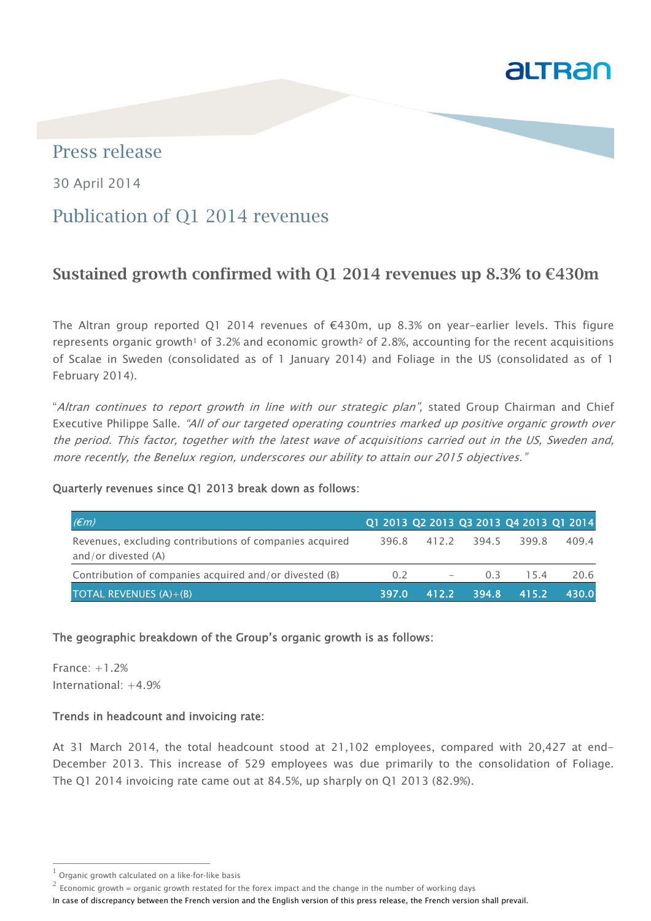

## Press release

30 April 2014

# Publication of Q1 2014 revenues

# Sustained growth confirmed with Q1 2014 revenues up 8.3% to  $€430m$

The Altran group reported Q1 2014 revenues of  $\epsilon$ 430m, up 8.3% on year-earlier levels. This figure represents organic growth<sup>1</sup> of 3.2% and economic growth<sup>2</sup> of 2.8%, accounting for the recent acquisitions of Scalae in Sweden (consolidated as of 1 January 2014) and Foliage in the US (consolidated as of 1 February 2014).

"Altran continues to report growth in line with our strategic plan", stated Group Chairman and Chief Executive Philippe Salle. "All of our targeted operating countries marked up positive organic growth over the period. This factor, together with the latest wave of acquisitions carried out in the US, Sweden and, more recently, the Benelux region, underscores our ability to attain our 2015 objectives."

### Quarterly revenues since Q1 2013 break down as follows:

| $(\epsilon m)$                                                                   |       | Q1 2013 Q2 2013 Q3 2013 Q4 2013 Q1 2014 |             |       |       |
|----------------------------------------------------------------------------------|-------|-----------------------------------------|-------------|-------|-------|
| Revenues, excluding contributions of companies acquired<br>and/or divested $(A)$ |       | 396.8 412.2 394.5                       |             | 399.8 | 409.4 |
| Contribution of companies acquired and/or divested (B)                           | 0.2   | $\overline{\phantom{0}}$                | 0.3         | 15.4  | 20.6  |
| TOTAL REVENUES $(A)+(B)$                                                         | 397.0 |                                         | 412.2 394.8 | 415.2 | 430.0 |

#### The geographic breakdown of the Group's organic growth is as follows:

France: +1.2% International: +4.9%

j

#### Trends in headcount and invoicing rate:

At 31 March 2014, the total headcount stood at 21,102 employees, compared with 20,427 at end-December 2013. This increase of 529 employees was due primarily to the consolidation of Foliage. The Q1 2014 invoicing rate came out at 84.5%, up sharply on Q1 2013 (82.9%).

Organic growth calculated on a like-for-like basis

 $2^{2}$  Economic growth = organic growth restated for the forex impact and the change in the number of working days

In case of discrepancy between the French version and the English version of this press release, the French version shall prevail.